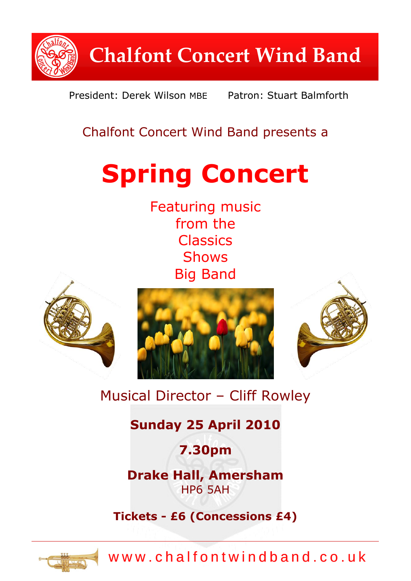

President: Derek Wilson MBE Patron: Stuart Balmforth

# Chalfont Concert Wind Band presents a

# **Spring Concert**

Featuring music from the **Classics** Shows Big Band



# Musical Director – Cliff Rowley

## **Sunday 25 April 2010**

**7.30pm**

**Drake Hall, Amersham** HP6 5AH

**Tickets - £6 (Concessions £4)**



www.chalfontwindband.co.uk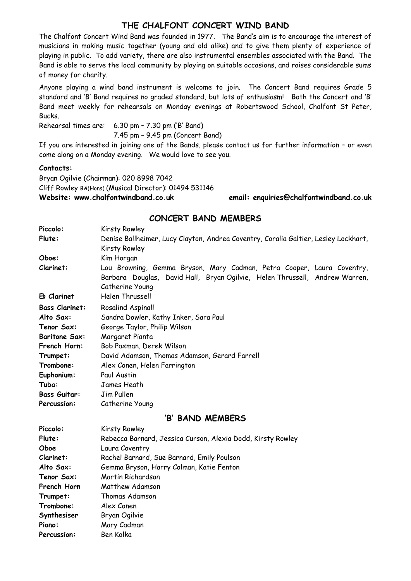#### **THE CHALFONT CONCERT WIND BAND**

The Chalfont Concert Wind Band was founded in 1977. The Band's aim is to encourage the interest of musicians in making music together (young and old alike) and to give them plenty of experience of playing in public. To add variety, there are also instrumental ensembles associated with the Band. The Band is able to serve the local community by playing on suitable occasions, and raises considerable sums of money for charity.

Anyone playing a wind band instrument is welcome to join. The Concert Band requires Grade 5 standard and 'B' Band requires no graded standard, but lots of enthusiasm! Both the Concert and 'B' Band meet weekly for rehearsals on Monday evenings at Robertswood School, Chalfont St Peter, Bucks.

Rehearsal times are: 6.30 pm – 7.30 pm ('B' Band) 7.45 pm – 9.45 pm (Concert Band)

If you are interested in joining one of the Bands, please contact us for further information – or even come along on a Monday evening. We would love to see you.

#### **Contacts:**

Bryan Ogilvie (Chairman): 020 8998 7042 Cliff Rowley BA(Hons) (Musical Director): 01494 531146 **Website: www.chalfontwindband.co.uk email: enquiries@chalfontwindband.co.uk** 

#### **CONCERT BAND MEMBERS**

| Piccolo:              | Kirsty Rowley                                                                       |
|-----------------------|-------------------------------------------------------------------------------------|
| Flute:                | Denise Ballheimer, Lucy Clayton, Andrea Coventry, Coralia Galtier, Lesley Lockhart, |
|                       | Kirsty Rowley                                                                       |
| Oboe:                 | Kim Horgan                                                                          |
| Clarinet:             | Lou Browning, Gemma Bryson, Mary Cadman, Petra Cooper, Laura Coventry,              |
|                       | Barbara Douglas, David Hall, Bryan Ogilvie, Helen Thrussell, Andrew Warren,         |
|                       | Catherine Young                                                                     |
| Eb Clarinet           | Helen Thrussell                                                                     |
| <b>Bass Clarinet:</b> | <b>Rosalind Aspinall</b>                                                            |
| Alto Sax:             | Sandra Dowler, Kathy Inker, Sara Paul                                               |
| Tenor Sax:            | George Taylor, Philip Wilson                                                        |
| <b>Baritone Sax:</b>  | Margaret Pianta                                                                     |
| French Horn:          | Bob Paxman, Derek Wilson                                                            |
| Trumpet:              | David Adamson, Thomas Adamson, Gerard Farrell                                       |
| Trombone:             | Alex Conen, Helen Farrington                                                        |
| Euphonium:            | Paul Austin                                                                         |
| Tuba:                 | James Heath                                                                         |
| <b>Bass Guitar:</b>   | Jim Pullen                                                                          |
| Percussion:           | Catherine Young                                                                     |
| 'B' BAND MEMBERS      |                                                                                     |
| Piccolo:              | Kirsty Rowley                                                                       |
| Flute:                | Rebecca Barnard, Jessica Curson, Alexia Dodd, Kirsty Rowley                         |
| Oboe                  | Laura Coventry                                                                      |
| Clarinet:             | Rachel Barnard, Sue Barnard, Emily Poulson                                          |
| Alto Sax:             | Gemma Bryson, Harry Colman, Katie Fenton                                            |
| Tenor Sax:            | Martin Richardson                                                                   |
| French Horn           | Matthew Adamson                                                                     |
| Trumpet:              | Thomas Adamson                                                                      |
| Trombone:             | Alex Conen                                                                          |
| Synthesiser           | Bryan Ogilvie                                                                       |
| Piano:                | Mary Cadman                                                                         |
| <b>Percussion:</b>    | Ben Kolka                                                                           |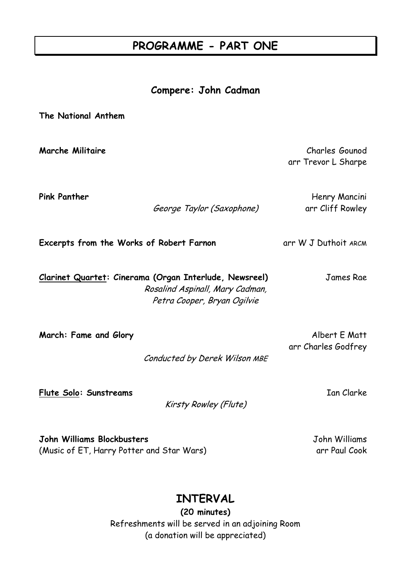## **PROGRAMME - PART ONE**

#### **Compere: John Cadman**

**The National Anthem Marche Militaire** Charles Gounod arr Trevor L Sharpe **Pink Panther** Henry Mancini George Taylor (Saxophone) arr Cliff Rowley **Excerpts from the Works of Robert Farnon** arr W J Duthoit ARCM **Clarinet Quartet: Cinerama (Organ Interlude, Newsreel)** James Rae Rosalind Aspinall, Mary Cadman, Petra Cooper, Bryan Ogilvie **March: Fame and Glory Albert E Matt** 

Conducted by Derek Wilson MBE

**Flute Solo: Sunstreams** Ian Clarke

Kirsty Rowley (Flute)

arr Charles Godfrey

**John Williams Blockbusters** John Williams (Music of ET, Harry Potter and Star Wars) example arr Paul Cook

## **INTERVAL**

**(20 minutes)** Refreshments will be served in an adjoining Room (a donation will be appreciated)